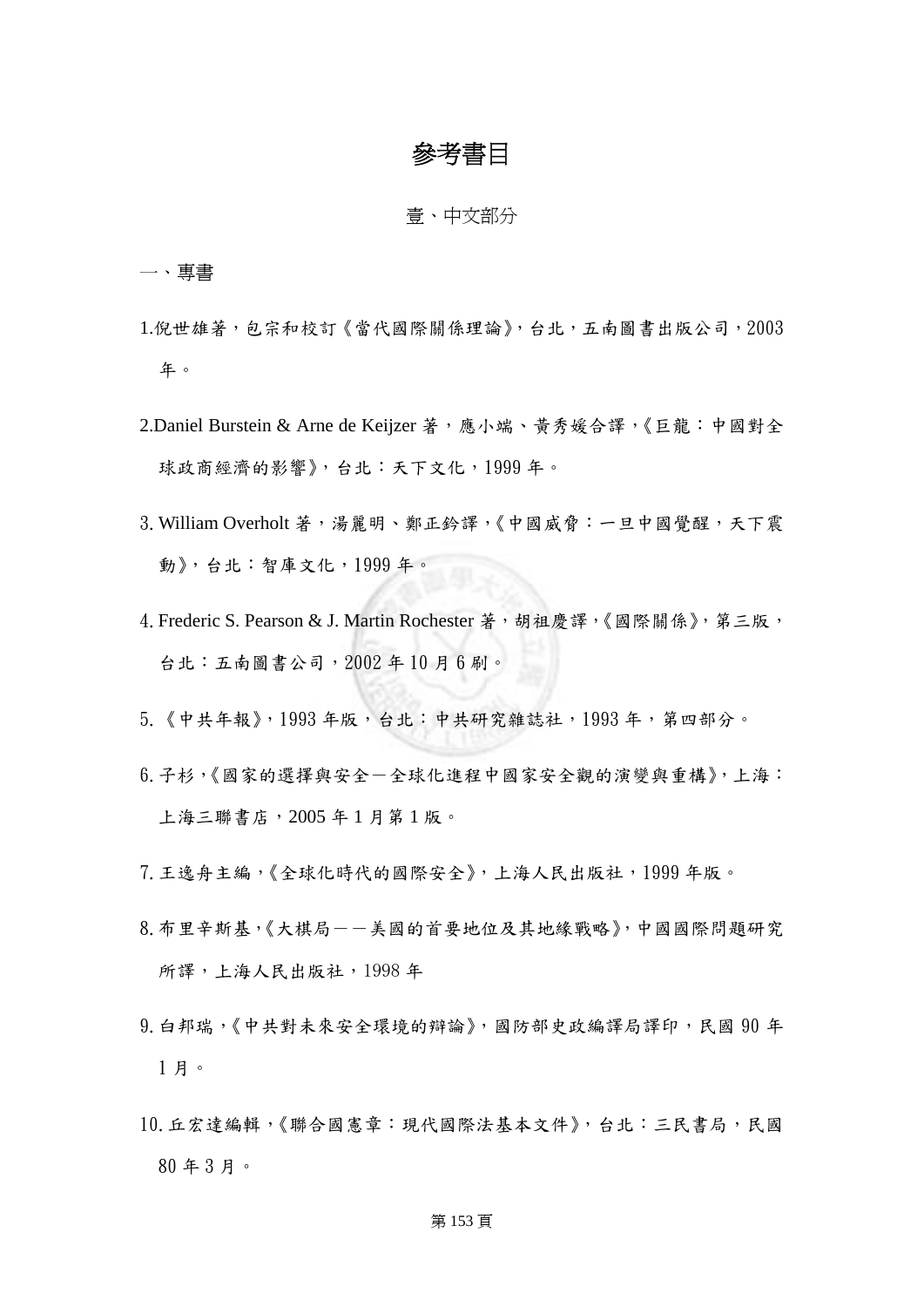# 參考書目

壹、中文部分

一、專書

- 1.倪世雄著,包宗和校訂《當代國際關係理論》,台北,五南圖書出版公司,2003 年。
- 2.Daniel Burstein & Arne de Keijzer 著,應小端、黃秀媛合譯,《巨龍:中國對全 球政商經濟的影響》,台北:天下文化,1999年。
- 3. William Overholt 著,湯麗明、鄭正鈴譯,《中國威脅:一旦中國覺醒,天下震 動》,台北:智庫文化,1999 年。
- 4. Frederic S. Pearson & J. Martin Rochester 著,胡祖慶譯,《國際關係》,第三版, 台北:五南圖書公司,2002 年 10 月 6 刷。
- 5.《中共年報》,1993 年版,台北:中共研究雜誌社,1993 年,第四部分。
- 6.子杉,《國家的選擇與安全-全球化進程中國家安全觀的演變與重構》,上海: 上海三聯書店,2005 年 1 月第 1 版。
- 7.王逸舟主編,《全球化時代的國際安全》,上海人民出版社,1999 年版。
- 8.布里辛斯基,《大棋局--美國的首要地位及其地緣戰略》,中國國際問題研究 所譯,上海人民出版社,1998 年
- 9.白邦瑞,《中共對未來安全環境的辯論》,國防部史政編譯局譯印,民國 90 年 1 月。
- 10.丘宏達編輯,《聯合國憲章:現代國際法基本文件》,台北:三民書局,民國 80 年 3 月。

# 第 153 頁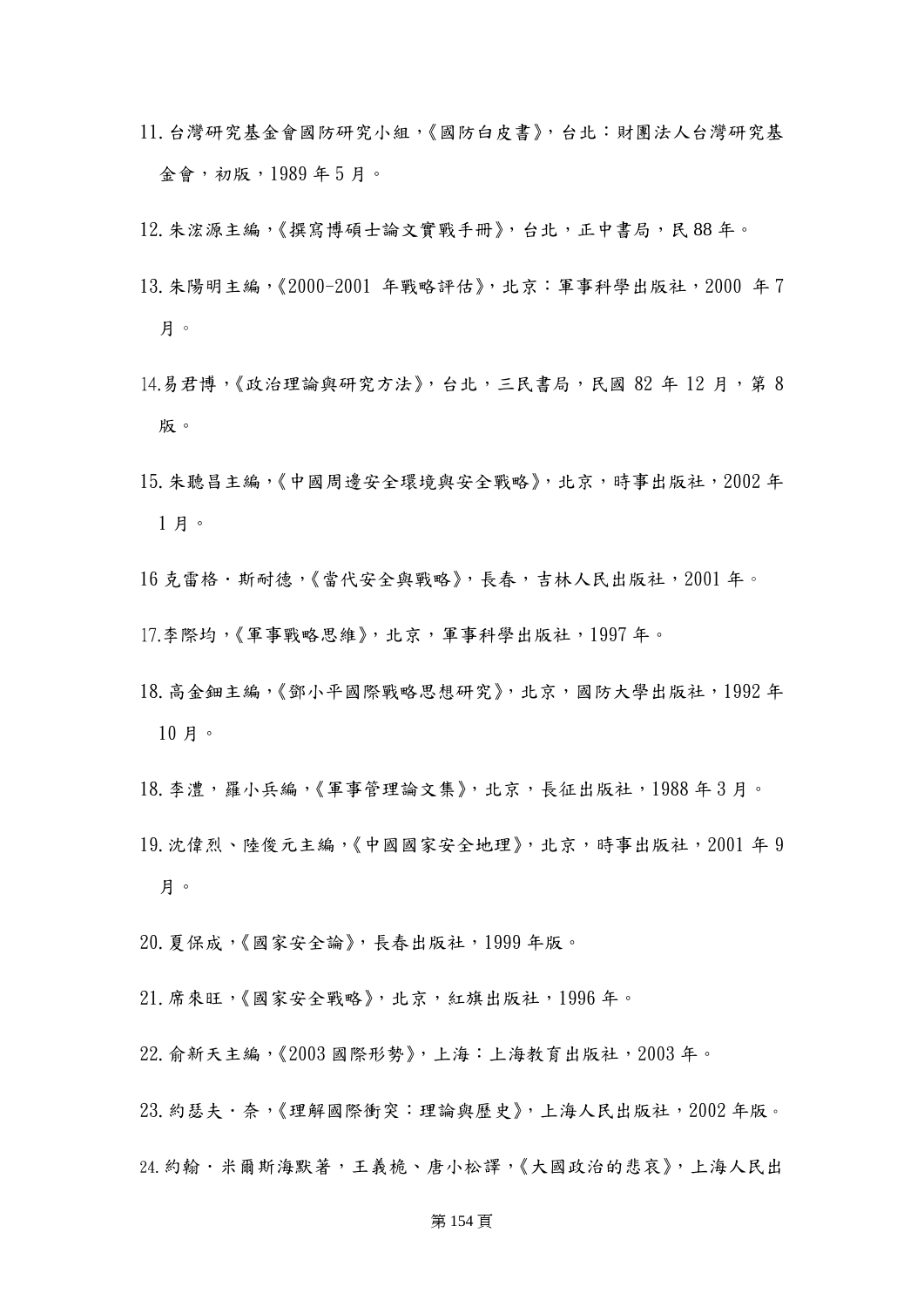- 11.台灣研究基金會國防研究小組,《國防白皮書》,台北:財團法人台灣研究基 金會,初版,1989 年 5 月。
- 12.朱浤源主編,《撰寫博碩士論文實戰手冊》,台北,正中書局,民 88 年。
- 13.朱陽明主編,《2000-2001 年戰略評估》,北京:軍事科學出版社,2000 年 7 月。
- 14.易君博,《政治理論與研究方法》,台北,三民書局,民國 82年 12月,第8 版。
- 15.朱聽昌主編,《中國周邊安全環境與安全戰略》,北京,時事出版社,2002 年 1 月。
- 16 克雷格·斯耐德,《當代安全與戰略》,長春,吉林人民出版社,2001年。
- 17.李際均,《軍事戰略思維》,北京,軍事科學出版社,1997 年。
- 18.高金鈿主編,《鄧小平國際戰略思想研究》,北京,國防大學出版社,1992 年 10 月。
- 18.李澧,羅小兵編,《軍事管理論文集》,北京,長征出版社,1988 年 3 月。
- 19.沈偉烈、陸俊元主編,《中國國家安全地理》,北京,時事出版社,2001 年 9 月。
- 20.夏保成,《國家安全論》,長春出版社,1999 年版。
- 21.席來旺,《國家安全戰略》,北京,紅旗出版社,1996 年。
- 22.俞新天主編,《2003 國際形勢》,上海:上海教育出版社,2003 年。
- 23.約瑟夫.奈,《理解國際衝突:理論與歷史》,上海人民出版社,2002 年版。
- 24. 約翰·米爾斯海默著,王義桅、唐小松譯,《大國政治的悲哀》,上海人民出

### 第 154 頁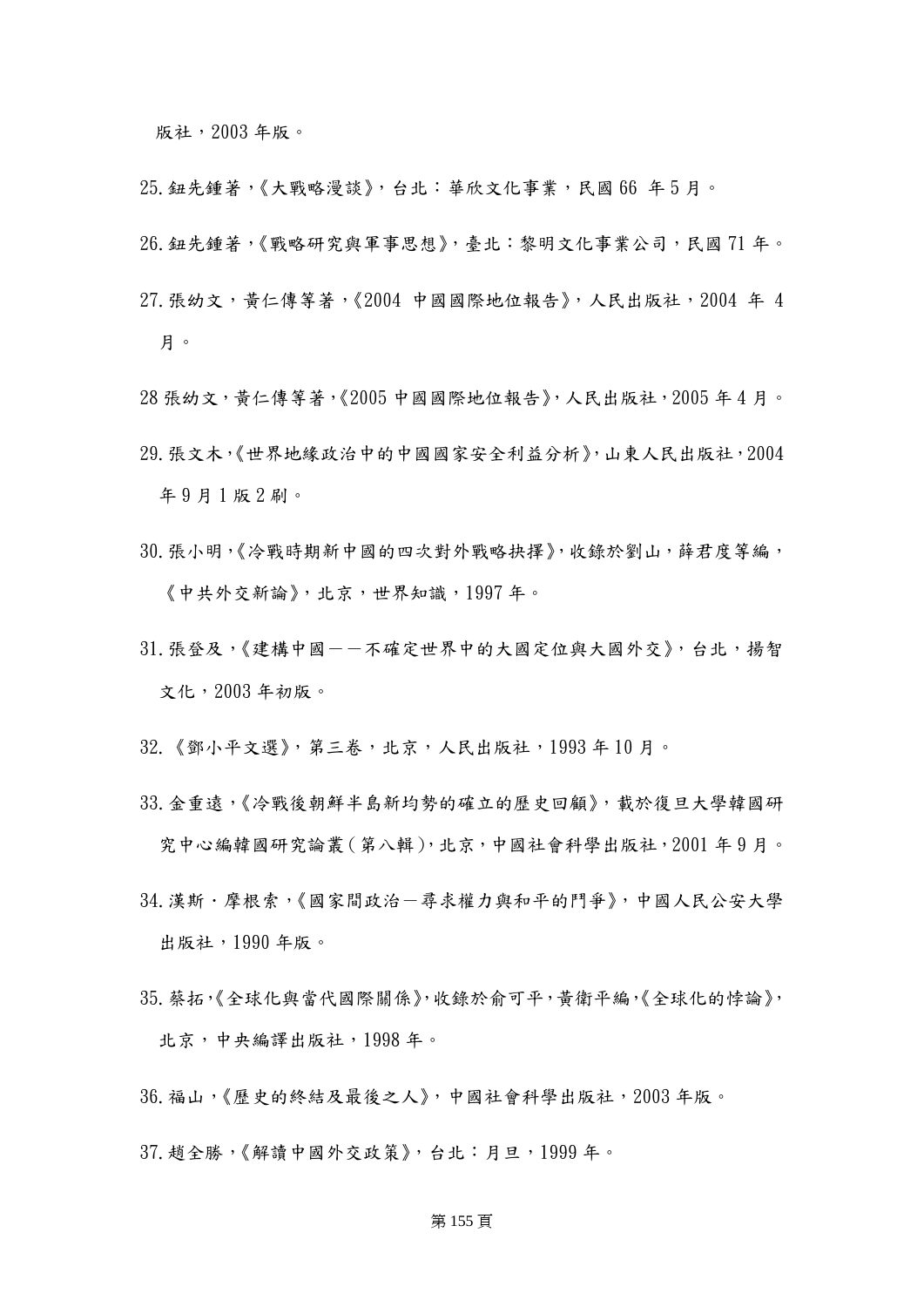版社,2003 年版。

- 25.鈕先鍾著,《大戰略漫談》,台北:華欣文化事業,民國 66 年 5 月。
- 26.鈕先鍾著,《戰略研究與軍事思想》,臺北:黎明文化事業公司,民國 71 年。
- 27.張幼文,黃仁傳等著,《2004 中國國際地位報告》,人民出版社,2004 年 4 月。
- 28 張幼文,黃仁傳等著,《2005 中國國際地位報告》,人民出版社,2005 年 4 月。
- 29.張文木,《世界地緣政治中的中國國家安全利益分析》,山東人民出版社,2004 年 9 月 1 版 2 刷。
- 30.張小明,《冷戰時期新中國的四次對外戰略抉擇》,收錄於劉山,薛君度等編, 《中共外交新論》,北京,世界知識,1997 年。
- 31. 張登及,《建構中國-一不確定世界中的大國定位與大國外交》, 台北,揚智 文化,2003 年初版。
- 32.《鄧小平文選》,第三卷,北京,人民出版社,1993 年 10 月。
- 33.金重遠,《冷戰後朝鮮半島新均勢的確立的歷史回顧》,載於復旦大學韓國研 究中心編韓國研究論叢(第八輯),北京,中國社會科學出版社,2001 年 9 月。
- 34.漢斯.摩根索,《國家間政治-尋求權力與和平的鬥爭》,中國人民公安大學 出版社,1990 年版。
- 35.蔡拓,《全球化與當代國際關係》,收錄於俞可平,黃衛平編,《全球化的悖論》, 北京,中央編譯出版社,1998 年。
- 36.福山,《歷史的終結及最後之人》,中國社會科學出版社,2003 年版。
- 37.趙全勝,《解讀中國外交政策》,台北:月旦,1999 年。

### 第 155 頁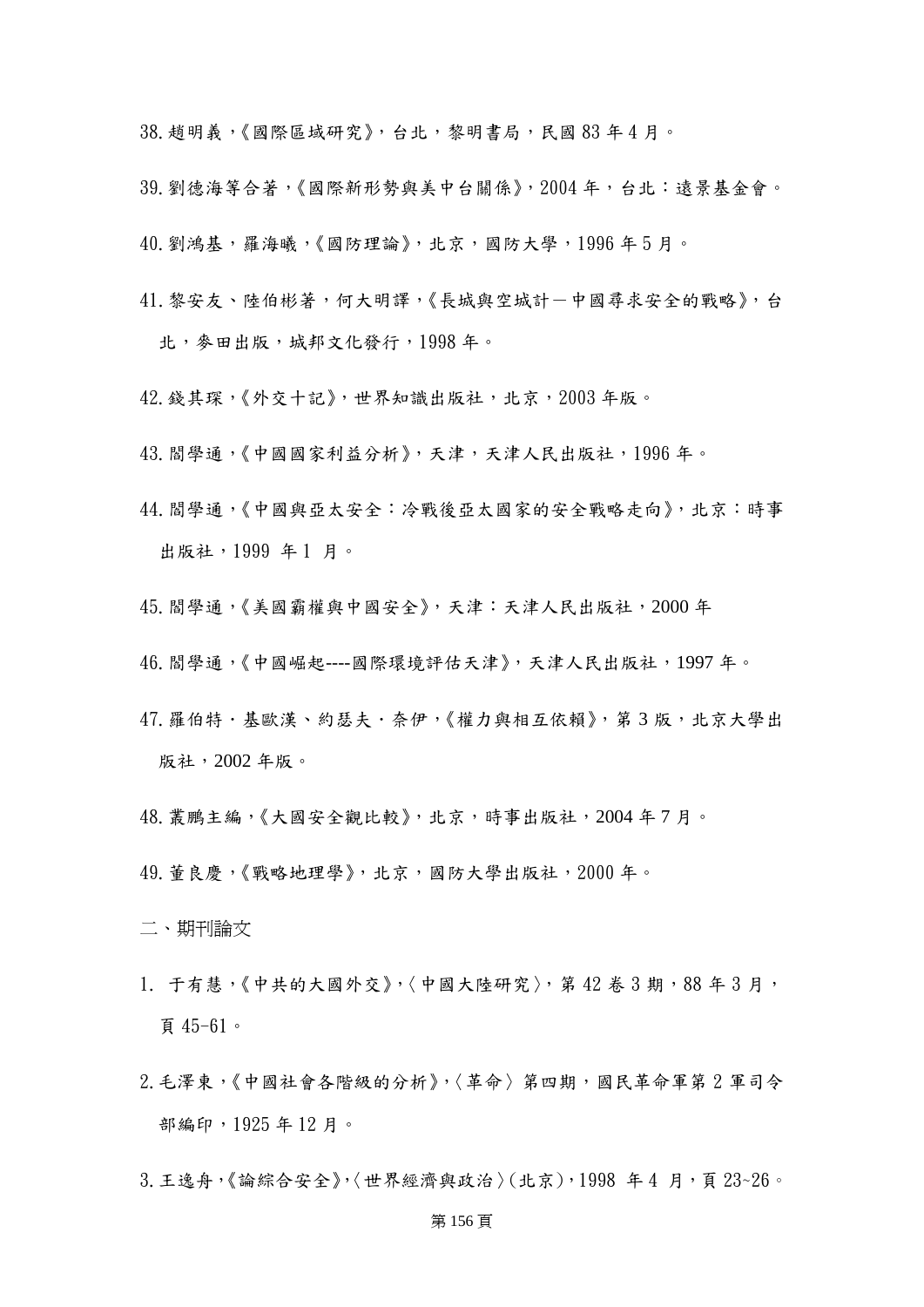38.趙明義,《國際區域研究》,台北,黎明書局,民國 83 年 4 月。

- 39.劉德海等合著,《國際新形勢與美中台關係》,2004 年,台北:遠景基金會。
- 40. 劉鴻基,羅海曦,《國防理論》,北京,國防大學,1996年5月。
- 41. 黎安友、陸伯彬著,何大明譯,《長城與空城計一中國尋求安全的戰略》,台 北,麥田出版,城邦文化發行,1998 年。
- 42. 錢其琛,《外交十記》,世界知識出版社,北京, 2003年版。
- 43.閻學通,《中國國家利益分析》,天津,天津人民出版社,1996 年。
- 44.閻學通,《中國與亞太安全:冷戰後亞太國家的安全戰略走向》,北京:時事 出版社,1999 年 1 月。
- 45.閻學通,《美國霸權與中國安全》,天津:天津人民出版社,2000 年
- 46.閻學通,《中國崛起----國際環境評估天津》,天津人民出版社,1997 年。
- 47. 羅伯特 · 基歐漢、約瑟夫 · 奈伊,《權力與相互依賴》, 第3版, 北京大學出 版社,2002 年版。
- 48.叢鵬主編,《大國安全觀比較》,北京,時事出版社,2004 年 7 月。
- 49.董良慶,《戰略地理學》,北京,國防大學出版社,2000 年。
- 二、期刊論文
- 1. 于有慧,《中共的大國外交》,〈中國大陸研究〉,第42卷3期,88年3月, 頁 45-61。
- 2.毛澤東,《中國社會各階級的分析》,〈革命〉第四期,國民革命軍第 2 軍司令 部編印,1925 年 12 月。
- 3.王逸舟,《論綜合安全》,〈世界經濟與政治〉(北京),1998 年 4 月,頁 23~26。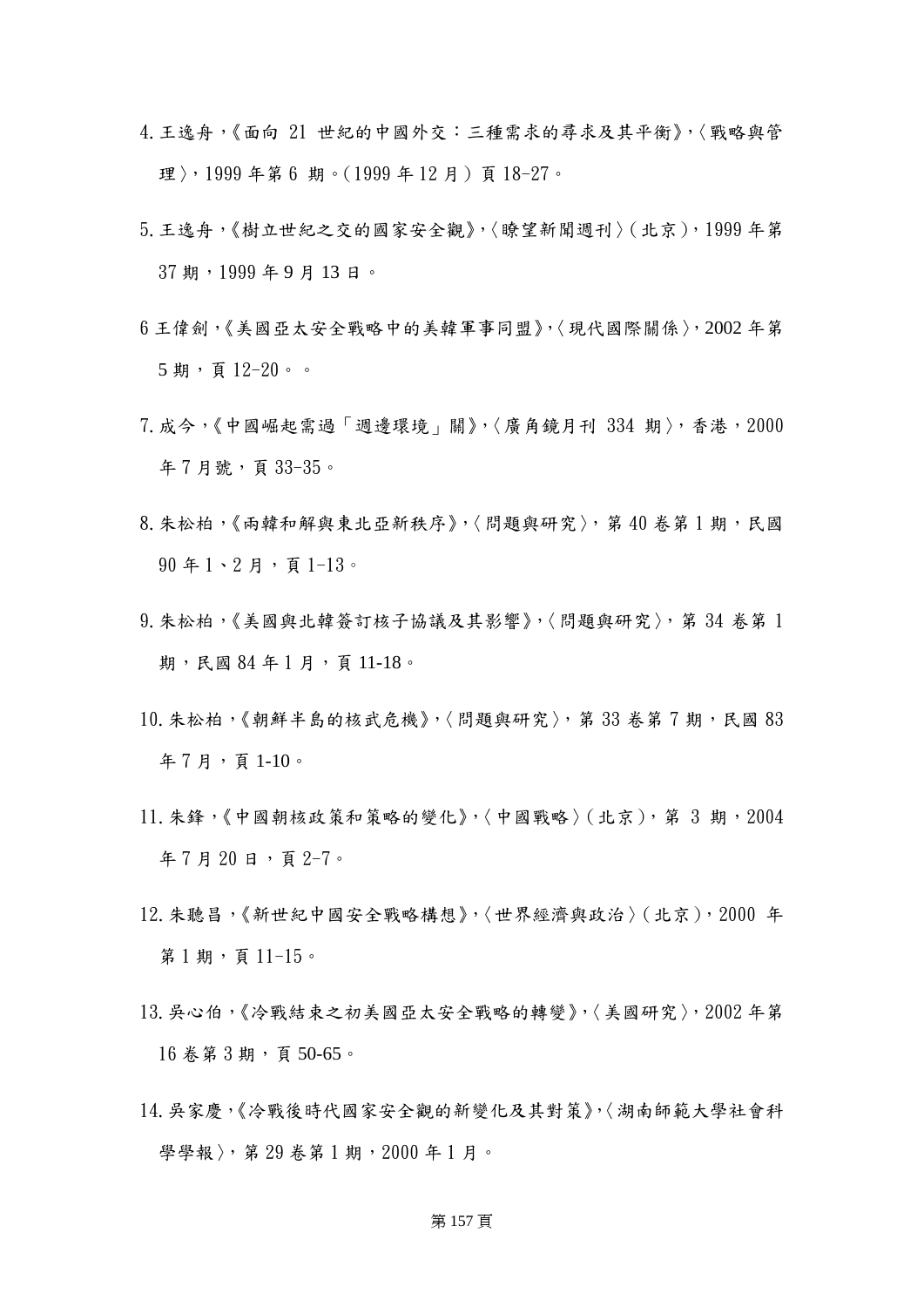- 4.王逸舟,《面向 21 世紀的中國外交:三種需求的尋求及其平衡》,〈戰略與管 理〉,1999年第6期。(1999年12月)頁18-27。
- 5.王逸舟,《樹立世紀之交的國家安全觀》,〈瞭望新聞週刊〉(北京),1999 年第 37 期,1999 年 9 月 13 日。
- 6 王偉劍,《美國亞太安全戰略中的美韓軍事同盟》,〈現代國際關係〉,2002 年第 5 期,頁 12-20。。
- 7.成今,《中國崛起需過「週邊環境」關》,〈廣角鏡月刊 334 期〉,香港,2000 年 7 月號, 頁 33-35。
- 8. 朱松柏,《兩韓和解與東北亞新秩序》,〈問題與研究〉,第40卷第1期,民國  $90 = 1 \cdot 2 = 7$ , 頁 1-13。
- 9.朱松柏,《美國與北韓簽訂核子協議及其影響》,〈問題與研究〉,第 34 卷第 1 期,民國 84年1月,頁11-18。
- 10.朱松柏,《朝鮮半島的核武危機》,〈問題與研究〉,第 33 卷第 7 期,民國 83 年 7 月,頁 1-10。
- 11. 朱鋒,《中國朝核政策和策略的變化》,〈中國戰略〉(北京),第 3期,2004 年 7 月 20 日, 百 2-7。
- 12.朱聽昌,《新世紀中國安全戰略構想》,〈世界經濟與政治〉(北京),2000 年 第1期,頁11-15。
- 13.吳心伯,《冷戰結束之初美國亞太安全戰略的轉變》,〈美國研究〉,2002 年第 16 卷第 3 期,頁 50-65。
- 14.吳家慶,《冷戰後時代國家安全觀的新變化及其對策》,〈湖南師範大學社會科 學學報〉,第 29 卷第 1 期, 2000 年 1 月。

# 第 157 頁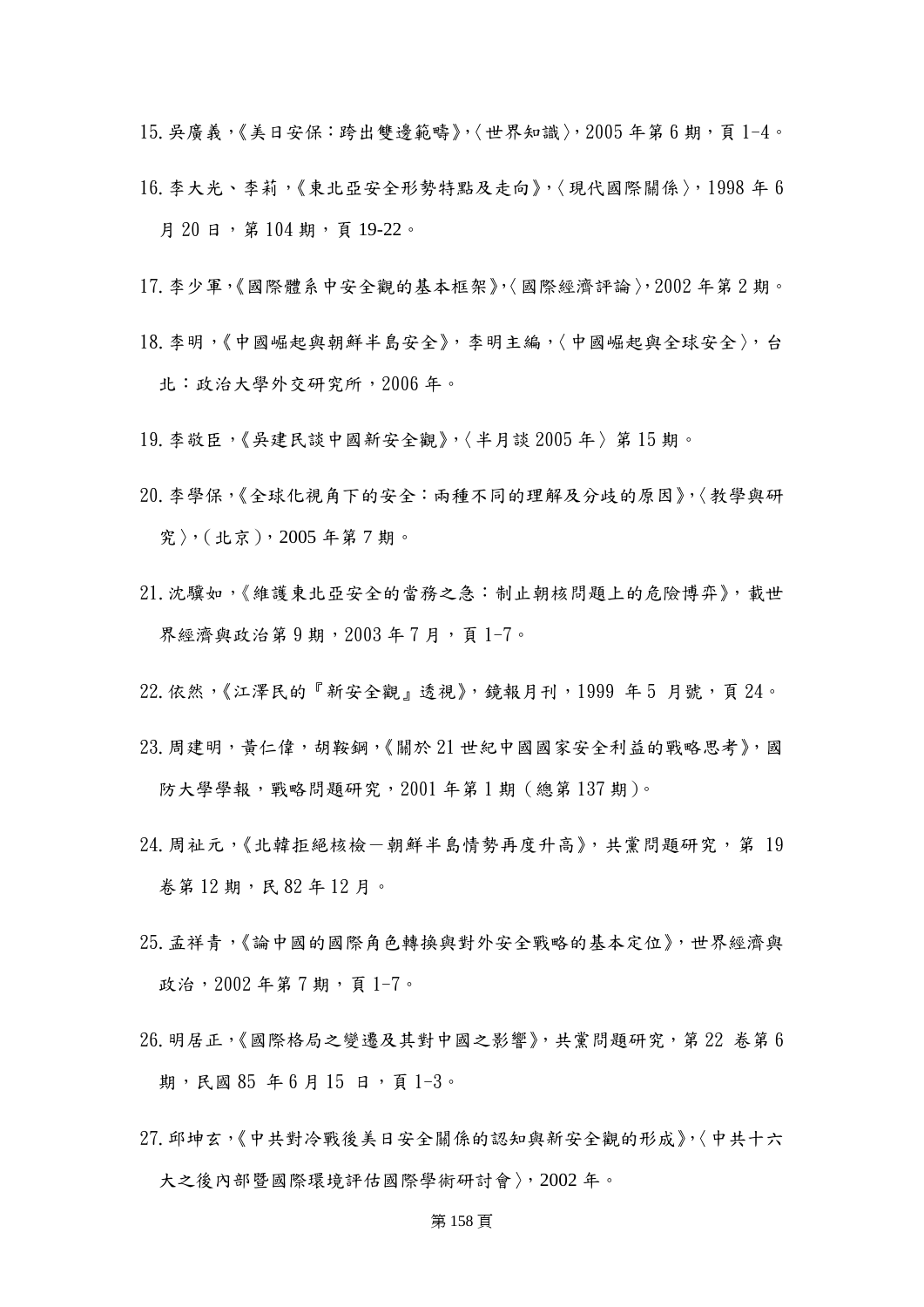$15. 吴廣義,《美日安保: 跨出雙邊範疇》,〈世界知識〉, 2005 年第 6 期, 頁 1-4。$ 

- 16.李大光、李莉,《東北亞安全形勢特點及走向》,〈現代國際關係〉,1998 年 6 月 20 日, 第 104 期, 頁 19-22。
- 17.李少軍,《國際體系中安全觀的基本框架》,〈國際經濟評論〉,2002 年第 2 期。
- 18.李明,《中國崛起與朝鮮半島安全》,李明主編,〈中國崛起與全球安全〉,台 北:政治大學外交研究所,2006 年。
- 19.李敬臣,《吳建民談中國新安全觀》,〈半月談 2005 年〉第 15 期。
- 20.李學保,《全球化視角下的安全:兩種不同的理解及分歧的原因》,〈教學與研 究〉,(北京),2005 年第 7 期。
- 21.沈驥如,《維護東北亞安全的當務之急:制止朝核問題上的危險博弈》,載世 界經濟與政治第9期,2003年7月,頁1-7。
- $22.$ 依然,《江澤民的『新安全觀』透視》,鏡報月刊,1999年5月號,頁24。
- 23.周建明,黃仁偉,胡鞍鋼,《關於 21 世紀中國國家安全利益的戰略思考》,國 防大學學報,戰略問題研究,2001年第1期(總第137期)。
- 24.周祉元,《北韓拒絕核檢-朝鮮半島情勢再度升高》,共黨問題研究,第 19 卷第 12 期,民 82 年 12 月。
- 25.孟祥青,《論中國的國際角色轉換與對外安全戰略的基本定位》,世界經濟與 政治, 2002年第7期, 頁1-7。
- 26.明居正,《國際格局之變遷及其對中國之影響》,共黨問題研究,第 22 卷第 6 期,民國 85年6月15日,頁1-3。
- 27.邱坤玄,《中共對冷戰後美日安全關係的認知與新安全觀的形成》,〈中共十六 大之後內部暨國際環境評估國際學術研討會〉,2002 年。

# 第 158 頁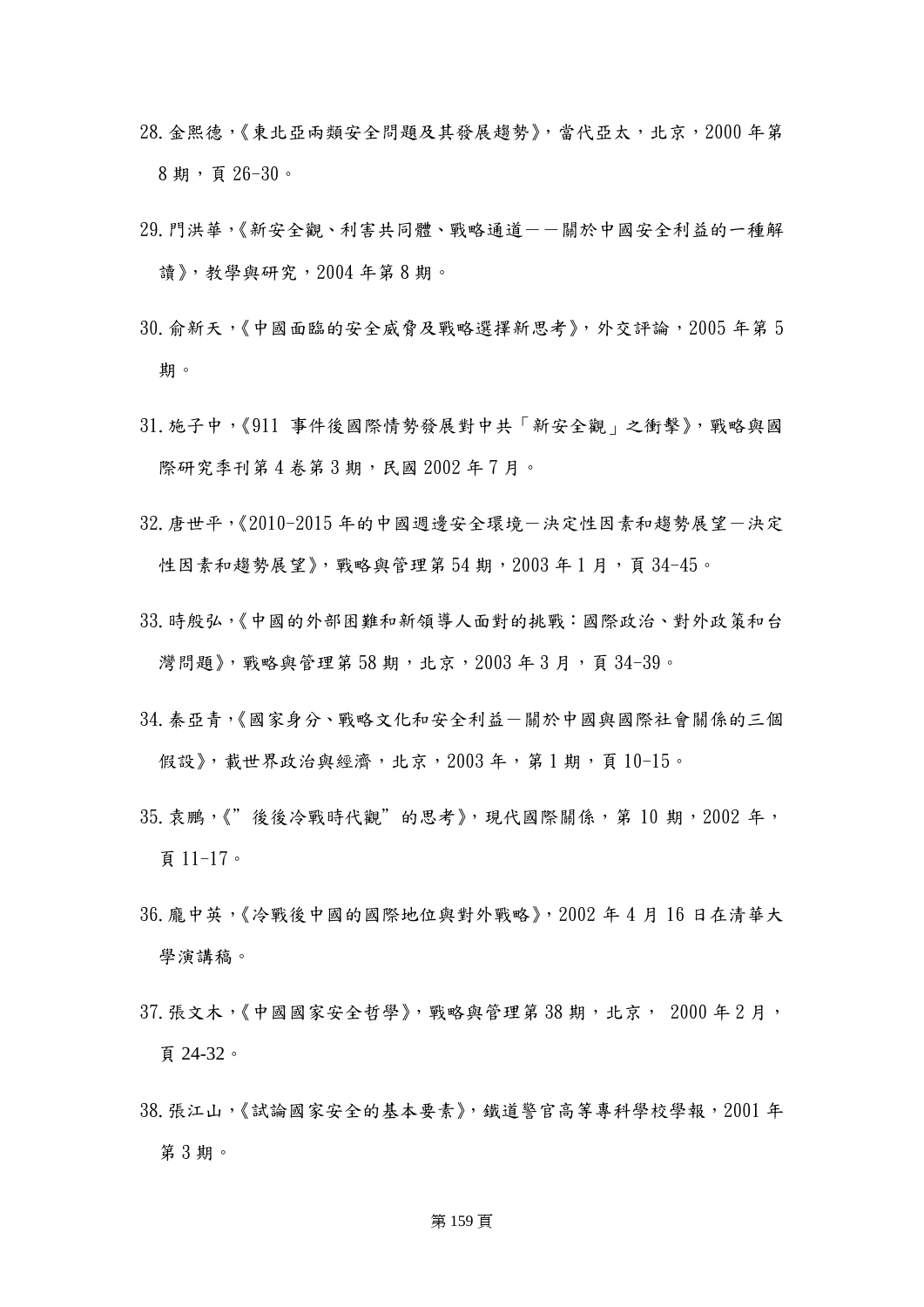- 28.金熙德,《東北亞兩類安全問題及其發展趨勢》,當代亞太,北京,2000 年第 8 期,頁 26-30。
- 29.門洪華,《新安全觀、利害共同體、戰略通道--關於中國安全利益的一種解 讀》,教學與研究,2004 年第 8 期。
- 30. 俞新天,《中國面臨的安全威脅及戰略選擇新思考》,外交評論,2005年第5 期。
- 31.施子中,《911 事件後國際情勢發展對中共「新安全觀」之衝擊》,戰略與國 際研究季刊第4卷第3期,民國 2002年7月。
- 32.唐世平,《2010-2015 年的中國週邊安全環境-決定性因素和趨勢展望-決定 性因素和趨勢展望》,戰略與管理第 54 期, 2003 年 1 月, 頁 34-45。
- 33.時殷弘,《中國的外部困難和新領導人面對的挑戰:國際政治、對外政策和台 灣問題》,戰略與管理第 58期, 北京, 2003年3月, 頁 34-39。
- 34.秦亞青,《國家身分、戰略文化和安全利益-關於中國與國際社會關係的三個 假設》,載世界政治與經濟,北京,2003年,第1期,頁10-15。
- 35. 袁鵬,《"後後冷戰時代觀"的思考》,現代國際關係,第10期,2002年, 頁 11-17。
- 36.龐中英,《冷戰後中國的國際地位與對外戰略》,2002 年 4 月 16 日在清華大 學演講稿。
- 37. 張文木,《中國國家安全哲學》, 戰略與管理第 38 期, 北京, 2000 年 2 月, 頁 24-32。
- 38.張江山,《試論國家安全的基本要素》,鐵道警官高等專科學校學報,2001 年 第 3 期。

### 第 159 頁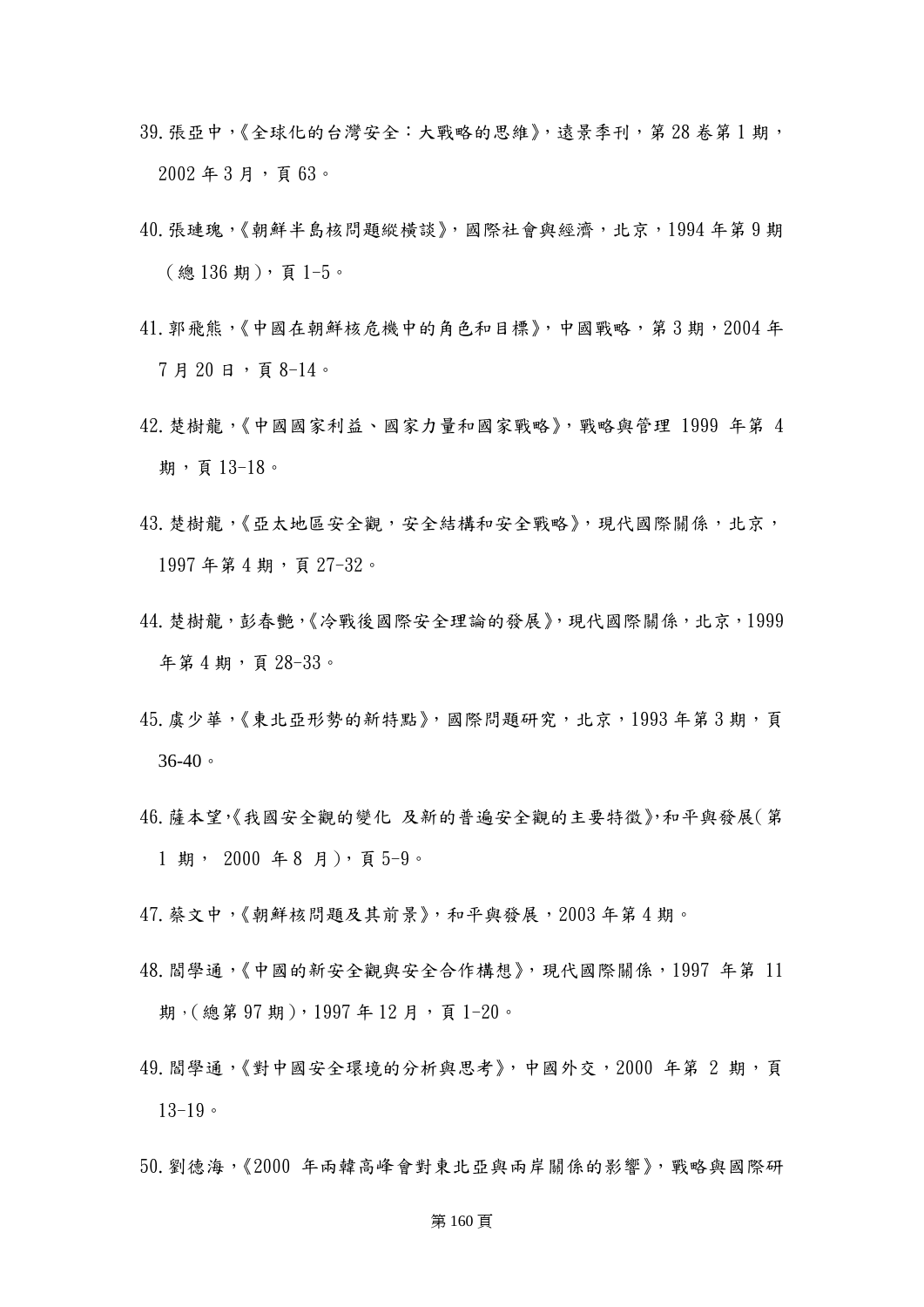- 39. 張亞中,《全球化的台灣安全:大戰略的思維》, 遠景季刊,第28 卷第1期,  $2002$  年 3 月, 頁  $63$ 。
- 40.張璉瑰,《朝鮮半島核問題縱橫談》,國際社會與經濟,北京,1994 年第 9 期 (總 136 期),頁 1-5。
- 41. 郭飛熊,《中國在朝鮮核危機中的角色和目標》,中國戰略,第3期,2004年 7 月 20 日,頁 8-14。
- 42.楚樹龍,《中國國家利益、國家力量和國家戰略》,戰略與管理 1999 年第 4 期,頁 13-18。
- 43.楚樹龍,《亞太地區安全觀,安全結構和安全戰略》,現代國際關係,北京, 1997 年第 4 期,頁 27-32。
- 44.楚樹龍,彭春艷,《冷戰後國際安全理論的發展》,現代國際關係,北京,1999 年第 4 期,頁 28-33。
- 45.虞少華,《東北亞形勢的新特點》,國際問題研究,北京,1993年第3期,頁 36-40。
- 46.薩本望,《我國安全觀的變化 及新的普遍安全觀的主要特徵》,和平與發展(第 1 期, 2000 年 8 月),頁 5-9。
- 47.蔡文中,《朝鮮核問題及其前景》,和平與發展,2003 年第 4 期。
- 48.閻學通,《中國的新安全觀與安全合作構想》,現代國際關係,1997 年第 11 期, (總第97期), 1997年12月, 頁1-20。
- 49. 閻學通,《對中國安全環境的分析與思考》,中國外交, 2000 年第 2 期, 頁 13-19。
- 50.劉德海,《2000 年兩韓高峰會對東北亞與兩岸關係的影響》,戰略與國際研

### 第 160 頁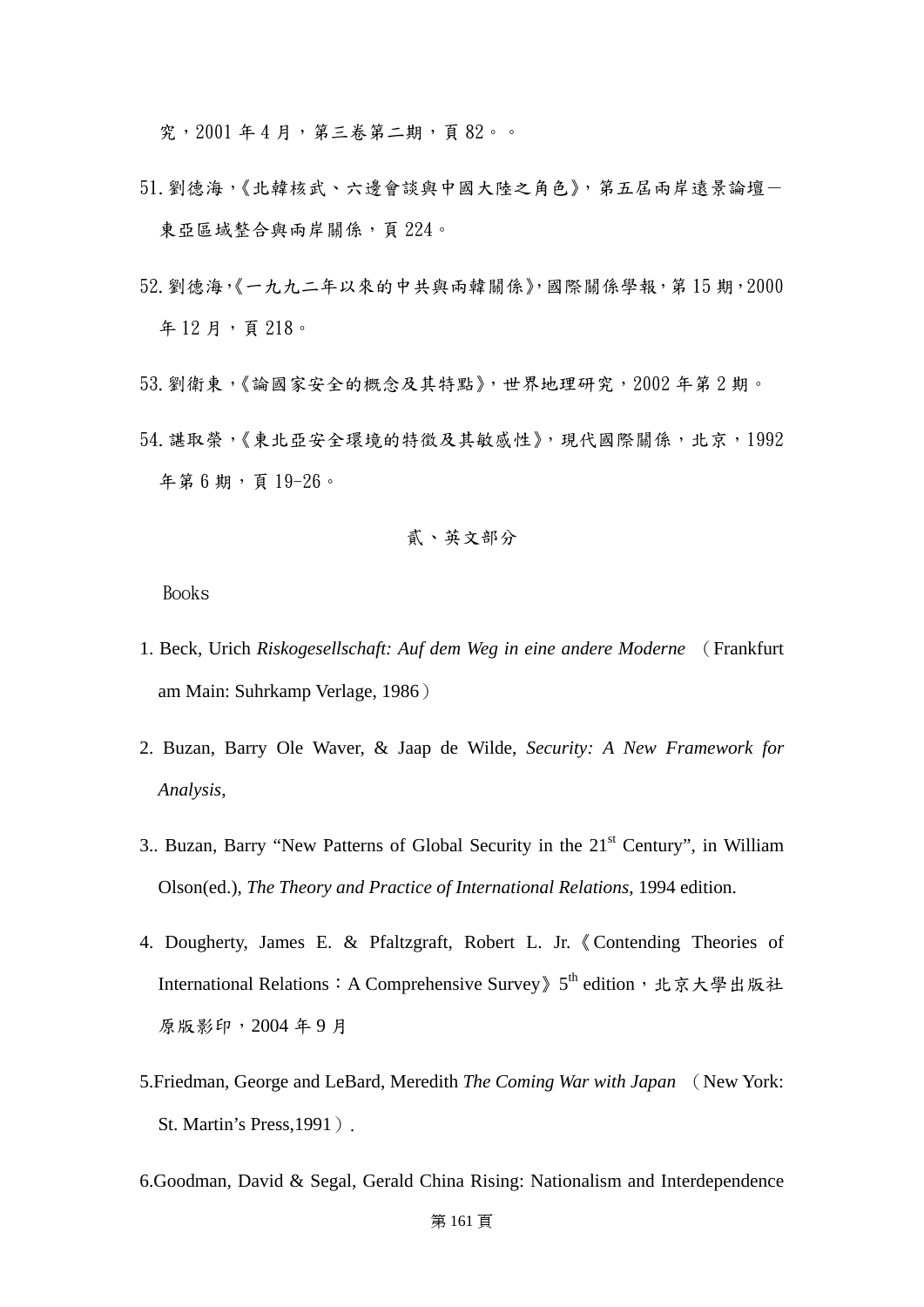究,2001 年 4 月,第三卷第二期,頁 82。。

- 51.劉德海,《北韓核武、六邊會談與中國大陸之角色》,第五屆兩岸遠景論壇- 東亞區域整合與兩岸關係,頁 224。
- 52.劉德海,《一九九二年以來的中共與兩韓關係》,國際關係學報,第 15 期,2000 年12月,頁218。
- 53.劉衛東,《論國家安全的概念及其特點》,世界地理研究,2002 年第 2 期。
- 54. 諶取榮,《東北亞安全環境的特徵及其敏感性》,現代國際關係,北京,1992 年第 6 期,頁 19-26。

貳、英文部分

Books

- 1. Beck, Urich *Riskogesellschaft: Auf dem Weg in eine andere Moderne* (Frankfurt am Main: Suhrkamp Verlage, 1986)
- 2. Buzan, Barry Ole Waver, & Jaap de Wilde, *Security: A New Framework for Analysis*,
- 3.. Buzan, Barry "New Patterns of Global Security in the 21<sup>st</sup> Century", in William Olson(ed.), *The Theory and Practice of International Relations*, 1994 edition.
- 4. Dougherty, James E. & Pfaltzgraft, Robert L. Jr.《Contending Theories of International Relations: A Comprehensive Survey》5<sup>th</sup> edition, 北京大學出版社 原版影印,2004 年 9 月
- 5.Friedman, George and LeBard, Meredith *The Coming War with Japan* (New York: St. Martin's Press, 1991).
- 6.Goodman, David & Segal, Gerald China Rising: Nationalism and Interdependence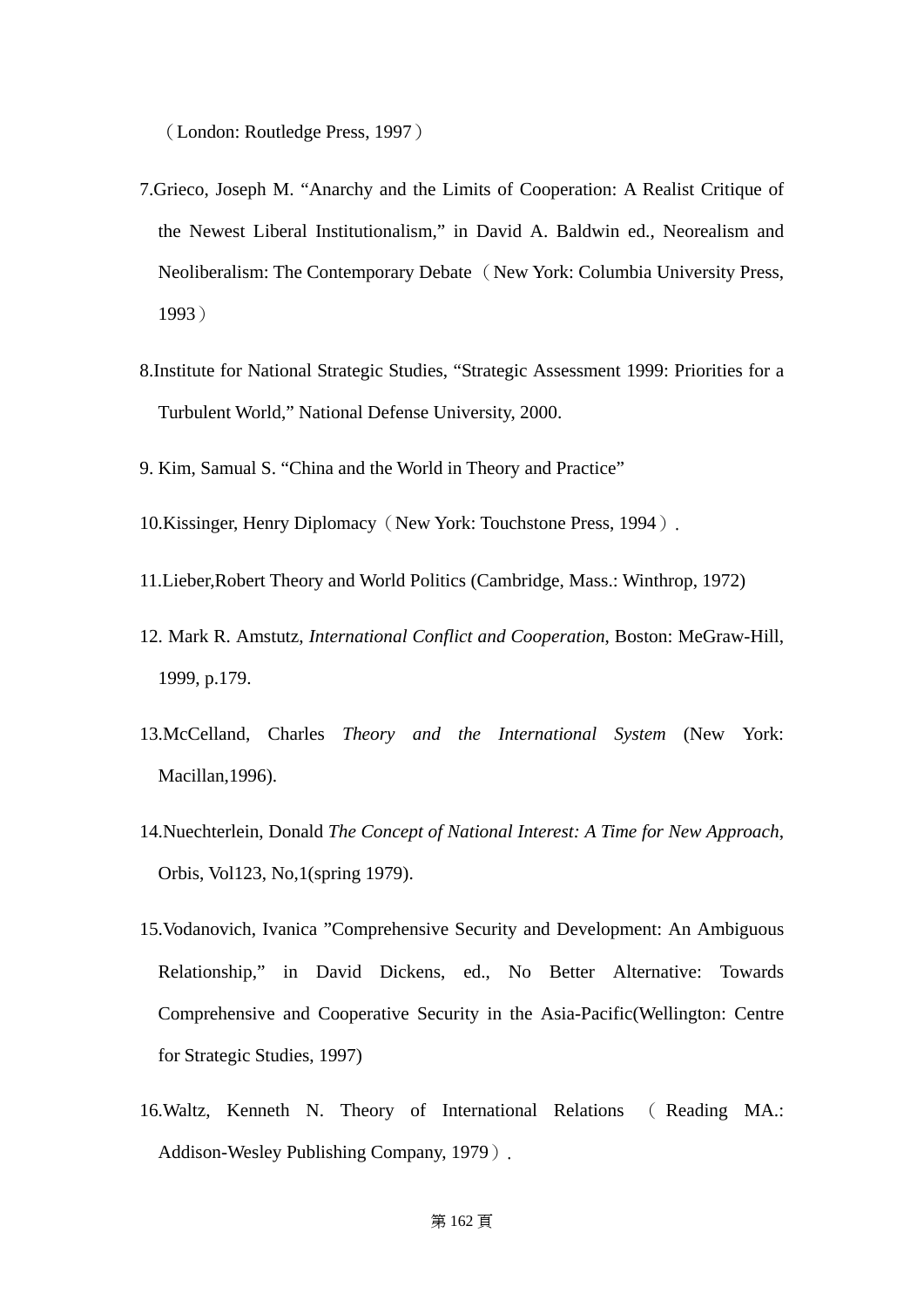(London: Routledge Press, 1997)

- 7.Grieco, Joseph M. "Anarchy and the Limits of Cooperation: A Realist Critique of the Newest Liberal Institutionalism," in David A. Baldwin ed., Neorealism and Neoliberalism: The Contemporary Debate (New York: Columbia University Press, 1993)
- 8.Institute for National Strategic Studies, "Strategic Assessment 1999: Priorities for a Turbulent World," National Defense University, 2000.
- 9. Kim, Samual S. "China and the World in Theory and Practice"
- 10.Kissinger, Henry Diplomacy(New York: Touchstone Press, 1994).
- 11.Lieber,Robert Theory and World Politics (Cambridge, Mass.: Winthrop, 1972)
- 12. Mark R. Amstutz, *International Conflict and Cooperation*, Boston: MeGraw-Hill, 1999, p.179.
- 13.McCelland, Charles *Theory and the International System* (New York: Macillan,1996).
- 14.Nuechterlein, Donald *The Concept of National Interest: A Time for New Approach*, Orbis, Vol123, No,1(spring 1979).
- 15.Vodanovich, Ivanica "Comprehensive Security and Development: An Ambiguous Relationship," in David Dickens, ed., No Better Alternative: Towards Comprehensive and Cooperative Security in the Asia-Pacific(Wellington: Centre for Strategic Studies, 1997)
- 16.Waltz, Kenneth N. Theory of International Relations ( Reading MA.: Addison-Wesley Publishing Company, 1979).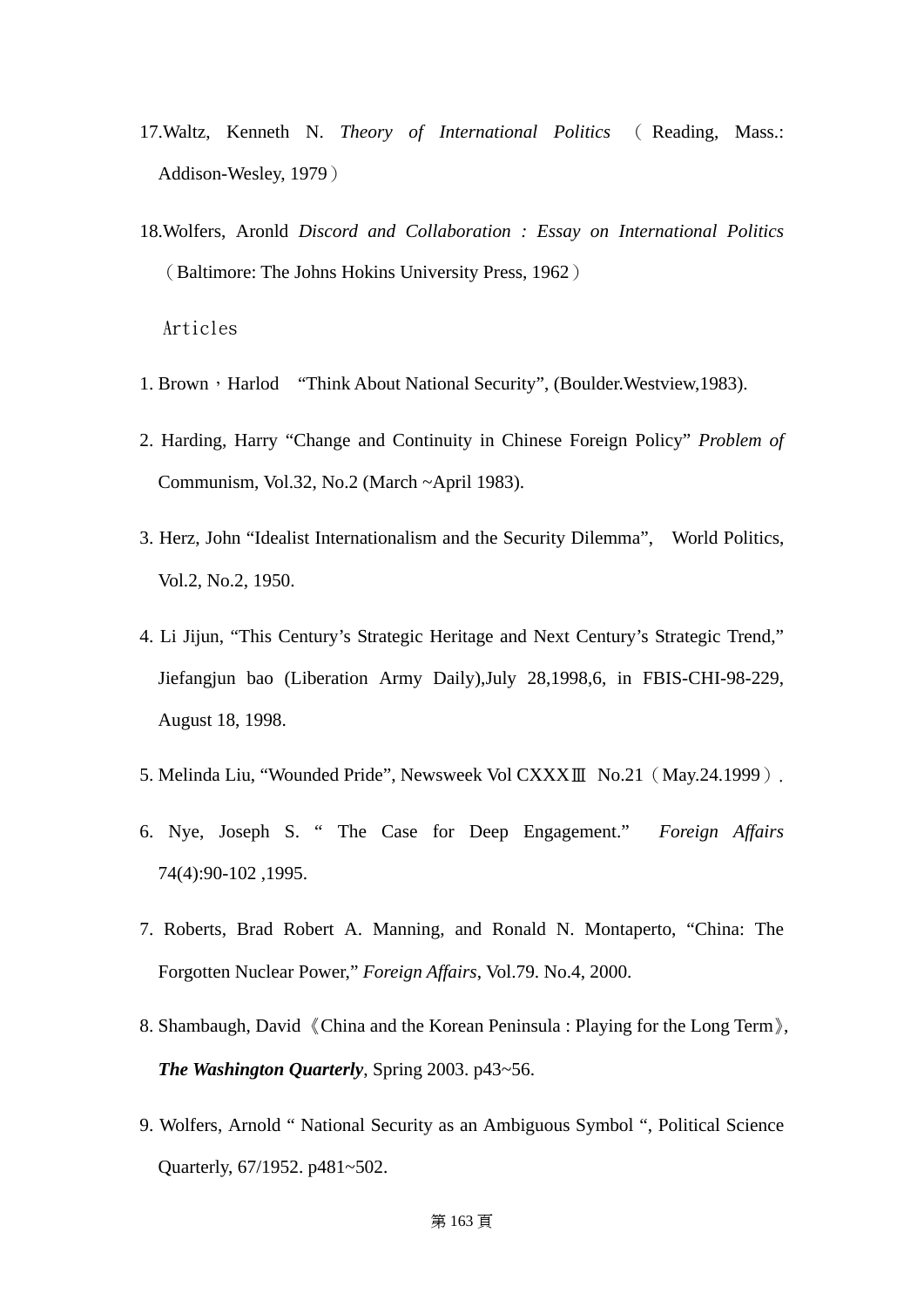- 17.Waltz, Kenneth N. *Theory of International Politics* ( Reading, Mass.: Addison-Wesley, 1979)
- 18.Wolfers, Aronld *Discord and Collaboration : Essay on International Politics*  (Baltimore: The Johns Hokins University Press, 1962)

Articles

- 1. Brown, Harlod "Think About National Security", (Boulder. Westview, 1983).
- 2. Harding, Harry "Change and Continuity in Chinese Foreign Policy" *Problem of*  Communism, Vol.32, No.2 (March ~April 1983).
- 3. Herz, John "Idealist Internationalism and the Security Dilemma", World Politics, Vol.2, No.2, 1950.
- 4. Li Jijun, "This Century's Strategic Heritage and Next Century's Strategic Trend," Jiefangjun bao (Liberation Army Daily),July 28,1998,6, in FBIS-CHI-98-229, August 18, 1998.
- 5. Melinda Liu, "Wounded Pride", Newsweek Vol CXXXⅢ No.21(May.24.1999).
- 6. Nye, Joseph S. " The Case for Deep Engagement." *Foreign Affairs* 74(4):90-102 ,1995.
- 7. Roberts, Brad Robert A. Manning, and Ronald N. Montaperto, "China: The Forgotten Nuclear Power," *Foreign Affairs*, Vol.79. No.4, 2000.
- 8. Shambaugh, David 《China and the Korean Peninsula : Playing for the Long Term》, *The Washington Quarterly*, Spring 2003. p43~56.
- 9. Wolfers, Arnold " National Security as an Ambiguous Symbol ", Political Science Quarterly, 67/1952. p481~502.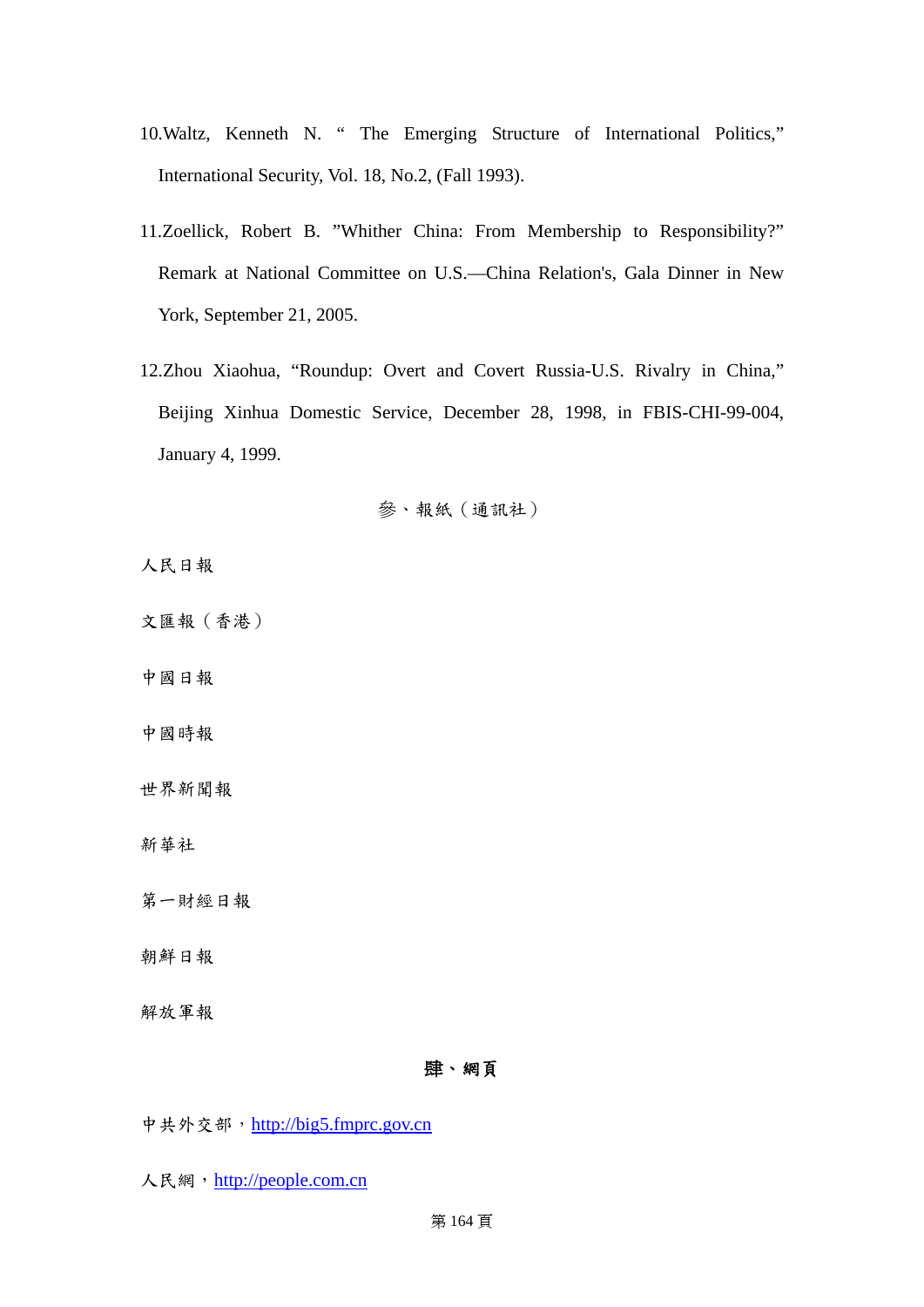- 10.Waltz, Kenneth N. " The Emerging Structure of International Politics," International Security, Vol. 18, No.2, (Fall 1993).
- 11.Zoellick, Robert B. "Whither China: From Membership to Responsibility?" Remark at National Committee on U.S.—China Relation's, Gala Dinner in New York, September 21, 2005.
- 12.Zhou Xiaohua, "Roundup: Overt and Covert Russia-U.S. Rivalry in China," Beijing Xinhua Domestic Service, December 28, 1998, in FBIS-CHI-99-004, January 4, 1999.

# 參、報紙(通訊社)

人民日報

文匯報(香港)

中國日報

中國時報

世界新聞報

新華社

第一財經日報

朝鮮日報

解放軍報

# 肆、網頁

中共外交部, [http://big5.fmprc.gov.cn](http://big5.fmprc.gov.cn/)

人民網, [http://people.com.cn](http://people.com.cn/)